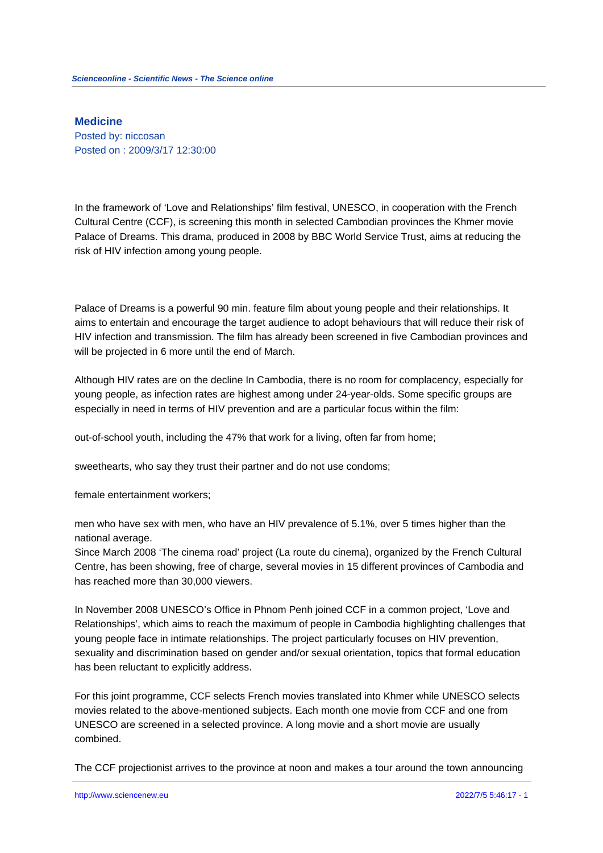**Medicine** Posted by: niccosan Posted on : 2009/3/17 12:30:00

In the framework of 'Love and Relationships' film festival, UNESCO, in cooperation with the French Cultural Centre (CCF), is screening this month in selected Cambodian provinces the Khmer movie Palace of Dreams. This drama, produced in 2008 by BBC World Service Trust, aims at reducing the risk of HIV infection among young people.

Palace of Dreams is a powerful 90 min. feature film about young people and their relationships. It aims to entertain and encourage the target audience to adopt behaviours that will reduce their risk of HIV infection and transmission. The film has already been screened in five Cambodian provinces and will be projected in 6 more until the end of March.

Although HIV rates are on the decline In Cambodia, there is no room for complacency, especially for young people, as infection rates are highest among under 24-year-olds. Some specific groups are especially in need in terms of HIV prevention and are a particular focus within the film:

out-of-school youth, including the 47% that work for a living, often far from home;

sweethearts, who say they trust their partner and do not use condoms;

female entertainment workers;

men who have sex with men, who have an HIV prevalence of 5.1%, over 5 times higher than the national average.

Since March 2008 'The cinema road' project (La route du cinema), organized by the French Cultural Centre, has been showing, free of charge, several movies in 15 different provinces of Cambodia and has reached more than 30,000 viewers.

In November 2008 UNESCO's Office in Phnom Penh joined CCF in a common project, 'Love and Relationships', which aims to reach the maximum of people in Cambodia highlighting challenges that young people face in intimate relationships. The project particularly focuses on HIV prevention, sexuality and discrimination based on gender and/or sexual orientation, topics that formal education has been reluctant to explicitly address.

For this joint programme, CCF selects French movies translated into Khmer while UNESCO selects movies related to the above-mentioned subjects. Each month one movie from CCF and one from UNESCO are screened in a selected province. A long movie and a short movie are usually combined.

The CCF projectionist arrives to the province at noon and makes a tour around the town announcing